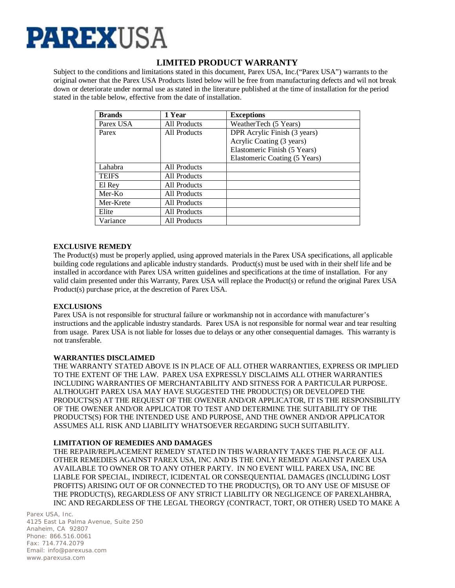

# **LIMITED PRODUCT WARRANTY**

Subject to the conditions and limitations stated in this document, Parex USA, Inc.("Parex USA") warrants to the original owner that the Parex USA Products listed below will be free from manufacturing defects and wil not break down or deteriorate under normal use as stated in the literature published at the time of installation for the period stated in the table below, effective from the date of installation.

| <b>Brands</b> | 1 Year       | <b>Exceptions</b>             |
|---------------|--------------|-------------------------------|
| Parex USA     | All Products | WeatherTech (5 Years)         |
| Parex         | All Products | DPR Acrylic Finish (3 years)  |
|               |              | Acrylic Coating (3 years)     |
|               |              | Elastomeric Finish (5 Years)  |
|               |              | Elastomeric Coating (5 Years) |
| Lahabra       | All Products |                               |
| <b>TEIFS</b>  | All Products |                               |
| El Rey        | All Products |                               |
| Mer-Ko        | All Products |                               |
| Mer-Krete     | All Products |                               |
| Elite         | All Products |                               |
| Variance      | All Products |                               |

# **EXCLUSIVE REMEDY**

The Product(s) must be properly applied, using approved materials in the Parex USA specifications, all applicable building code regulations and aplicable industry standards. Product(s) must be used with in their shelf life and be installed in accordance with Parex USA written guidelines and specifications at the time of installation. For any valid claim presented under this Warranty, Parex USA will replace the Product(s) or refund the original Parex USA Product(s) purchase price, at the descretion of Parex USA.

# **EXCLUSIONS**

Parex USA is not responsible for structural failure or workmanship not in accordance with manufacturer's instructions and the applicable industry standards. Parex USA is not responsible for normal wear and tear resulting from usage. Parex USA is not liable for losses due to delays or any other consequential damages. This warranty is not transferable.

### **WARRANTIES DISCLAIMED**

THE WARRANTY STATED ABOVE IS IN PLACE OF ALL OTHER WARRANTIES, EXPRESS OR IMPLIED TO THE EXTENT OF THE LAW. PAREX USA EXPRESSLY DISCLAIMS ALL OTHER WARRANTIES INCLUDING WARRANTIES OF MERCHANTABILITY AND SITNESS FOR A PARTICULAR PURPOSE. ALTHOUGHT PAREX USA MAY HAVE SUGGESTED THE PRODUCT(S) OR DEVELOPED THE PRODUCTS(S) AT THE REQUEST OF THE OWENER AND/OR APPLICATOR, IT IS THE RESPONSIBILITY OF THE OWENER AND/OR APPLICATOR TO TEST AND DETERMINE THE SUITABILITY OF THE PRODUCTS(S) FOR THE INTENDED USE AND PURPOSE, AND THE OWNER AND/OR APPLICATOR ASSUMES ALL RISK AND LIABILITY WHATSOEVER REGARDING SUCH SUITABILITY.

### **LIMITATION OF REMEDIES AND DAMAGES**

THE REPAIR/REPLACEMENT REMEDY STATED IN THIS WARRANTY TAKES THE PLACE OF ALL OTHER REMEDIES AGAINST PAREX USA, INC AND IS THE ONLY REMEDY AGAINST PAREX USA AVAILABLE TO OWNER OR TO ANY OTHER PARTY. IN NO EVENT WILL PAREX USA, INC BE LIABLE FOR SPECIAL, INDIRECT, ICIDENTAL OR CONSEQUENTIAL DAMAGES (INCLUDING LOST PROFITS) ARISING OUT OF OR CONNECTED TO THE PRODUCT(S), OR TO ANY USE OF MISUSE OF THE PRODUCT(S), REGARDLESS OF ANY STRICT LIABILITY OR NEGLIGENCE OF PAREXLAHBRA, INC AND REGARDLESS OF THE LEGAL THEORGY (CONTRACT, TORT, OR OTHER) USED TO MAKE A

Parex USA, Inc. 4125 East La Palma Avenue, Suite 250 Anaheim, CA 92807 Phone: 866.516.0061 Fax: 714.774.2079 Email: info@parexusa.com www.parexusa.com